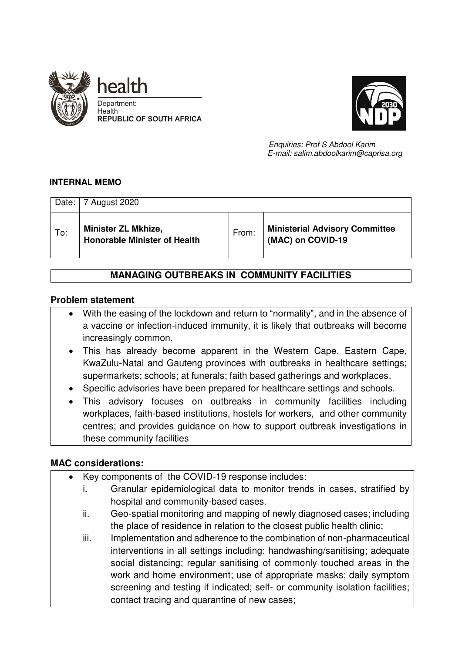



 *Enquiries: Prof S Abdool Karim E-mail: salim.abdoolkarim@caprisa.org* 

## **INTERNAL MEMO**

| Date: | 7 August 2020                                                     |       |                                                            |
|-------|-------------------------------------------------------------------|-------|------------------------------------------------------------|
| To:   | <b>Minister ZL Mkhize,</b><br><b>Honorable Minister of Health</b> | From: | <b>Ministerial Advisory Committee</b><br>(MAC) on COVID-19 |

# **MANAGING OUTBREAKS IN COMMUNITY FACILITIES**

## **Problem statement**

- With the easing of the lockdown and return to "normality", and in the absence of a vaccine or infection-induced immunity, it is likely that outbreaks will become increasingly common.
- This has already become apparent in the Western Cape, Eastern Cape, KwaZulu-Natal and Gauteng provinces with outbreaks in healthcare settings; supermarkets; schools; at funerals; faith based gatherings and workplaces.
- Specific advisories have been prepared for healthcare settings and schools.
- This advisory focuses on outbreaks in community facilities including workplaces, faith-based institutions, hostels for workers, and other community centres; and provides guidance on how to support outbreak investigations in these community facilities

## **MAC considerations:**

- Key components of the COVID-19 response includes:
	- i. Granular epidemiological data to monitor trends in cases, stratified by hospital and community-based cases.
	- ii. Geo-spatial monitoring and mapping of newly diagnosed cases; including the place of residence in relation to the closest public health clinic;
	- iii. Implementation and adherence to the combination of non-pharmaceutical interventions in all settings including: handwashing/sanitising; adequate social distancing; regular sanitising of commonly touched areas in the work and home environment; use of appropriate masks; daily symptom screening and testing if indicated; self- or community isolation facilities; contact tracing and quarantine of new cases;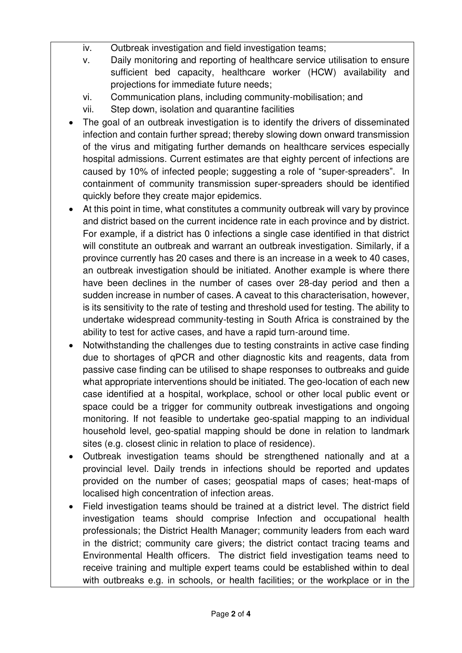- iv. Outbreak investigation and field investigation teams;
- v. Daily monitoring and reporting of healthcare service utilisation to ensure sufficient bed capacity, healthcare worker (HCW) availability and projections for immediate future needs;
- vi. Communication plans, including community-mobilisation; and
- vii. Step down, isolation and quarantine facilities
- The goal of an outbreak investigation is to identify the drivers of disseminated infection and contain further spread; thereby slowing down onward transmission of the virus and mitigating further demands on healthcare services especially hospital admissions. Current estimates are that eighty percent of infections are caused by 10% of infected people; suggesting a role of "super-spreaders". In containment of community transmission super-spreaders should be identified quickly before they create major epidemics.
- At this point in time, what constitutes a community outbreak will vary by province and district based on the current incidence rate in each province and by district. For example, if a district has 0 infections a single case identified in that district will constitute an outbreak and warrant an outbreak investigation. Similarly, if a province currently has 20 cases and there is an increase in a week to 40 cases, an outbreak investigation should be initiated. Another example is where there have been declines in the number of cases over 28-day period and then a sudden increase in number of cases. A caveat to this characterisation, however, is its sensitivity to the rate of testing and threshold used for testing. The ability to undertake widespread community-testing in South Africa is constrained by the ability to test for active cases, and have a rapid turn-around time.
- Notwithstanding the challenges due to testing constraints in active case finding due to shortages of qPCR and other diagnostic kits and reagents, data from passive case finding can be utilised to shape responses to outbreaks and guide what appropriate interventions should be initiated. The geo-location of each new case identified at a hospital, workplace, school or other local public event or space could be a trigger for community outbreak investigations and ongoing monitoring. If not feasible to undertake geo-spatial mapping to an individual household level, geo-spatial mapping should be done in relation to landmark sites (e.g. closest clinic in relation to place of residence).
- Outbreak investigation teams should be strengthened nationally and at a provincial level. Daily trends in infections should be reported and updates provided on the number of cases; geospatial maps of cases; heat-maps of localised high concentration of infection areas.
- Field investigation teams should be trained at a district level. The district field investigation teams should comprise Infection and occupational health professionals; the District Health Manager; community leaders from each ward in the district; community care givers; the district contact tracing teams and Environmental Health officers. The district field investigation teams need to receive training and multiple expert teams could be established within to deal with outbreaks e.g. in schools, or health facilities; or the workplace or in the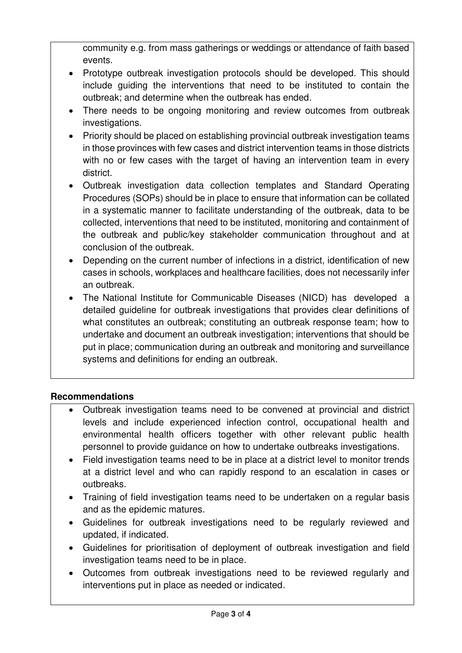community e.g. from mass gatherings or weddings or attendance of faith based events.

- Prototype outbreak investigation protocols should be developed. This should include guiding the interventions that need to be instituted to contain the outbreak; and determine when the outbreak has ended.
- There needs to be ongoing monitoring and review outcomes from outbreak investigations.
- Priority should be placed on establishing provincial outbreak investigation teams in those provinces with few cases and district intervention teams in those districts with no or few cases with the target of having an intervention team in every district.
- Outbreak investigation data collection templates and Standard Operating Procedures (SOPs) should be in place to ensure that information can be collated in a systematic manner to facilitate understanding of the outbreak, data to be collected, interventions that need to be instituted, monitoring and containment of the outbreak and public/key stakeholder communication throughout and at conclusion of the outbreak.
- Depending on the current number of infections in a district, identification of new cases in schools, workplaces and healthcare facilities, does not necessarily infer an outbreak.
- The National Institute for Communicable Diseases (NICD) has developed a detailed guideline for outbreak investigations that provides clear definitions of what constitutes an outbreak; constituting an outbreak response team; how to undertake and document an outbreak investigation; interventions that should be put in place; communication during an outbreak and monitoring and surveillance systems and definitions for ending an outbreak.

# **Recommendations**

- Outbreak investigation teams need to be convened at provincial and district levels and include experienced infection control, occupational health and environmental health officers together with other relevant public health personnel to provide guidance on how to undertake outbreaks investigations.
- Field investigation teams need to be in place at a district level to monitor trends at a district level and who can rapidly respond to an escalation in cases or outbreaks.
- Training of field investigation teams need to be undertaken on a regular basis and as the epidemic matures.
- Guidelines for outbreak investigations need to be regularly reviewed and updated, if indicated.
- Guidelines for prioritisation of deployment of outbreak investigation and field investigation teams need to be in place.
- Outcomes from outbreak investigations need to be reviewed regularly and interventions put in place as needed or indicated.